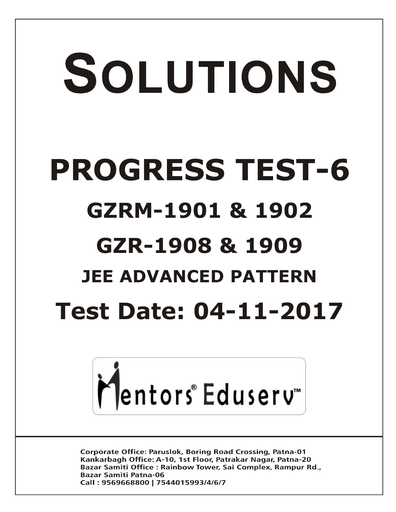# SOLUTIONS **PROGRESS TEST-6 GZRM-1901 & 1902 GZR-1908 1909 & JEE ADVANCED PATTERN Test Date: 04-11-2017**



**Corporate Office: Paruslok, Boring Road Crossing, Patna-01** Kankarbagh Office: A-10, 1st Floor, Patrakar Nagar, Patna-20 Bazar Samiti Office: Rainbow Tower, Sai Complex, Rampur Rd., **Bazar Samiti Patna-06** Call: 9569668800 | 7544015993/4/6/7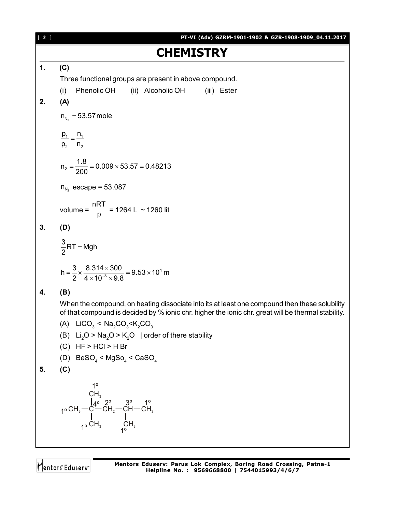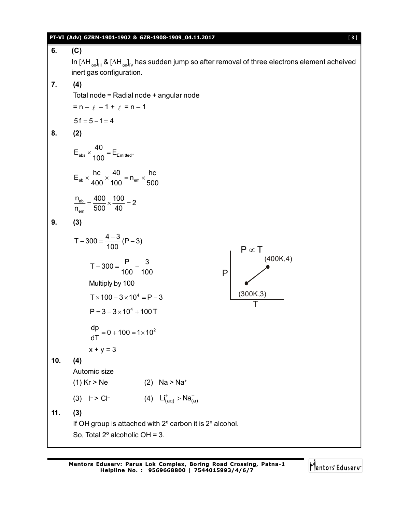### **PT-VI (Adv) GZRM-1901-1902 & GZR-1908-1909\_04.11.2017** [ **3** ]

**6. (C)** In [∆H<sub>ion</sub>]<sub>iil</sub> & [∆H<sub>ion</sub>]<sub>i∨</sub> has sudden jump so after removal of three electrons element acheived inert gas configuration. **7. (4)** Total node = Radial node + angular node  $= n - \ell - 1 + \ell = n - 1$  $5f = 5 - 1 = 4$ **8. (2)**  $E_{\text{abs}} \times \frac{40}{100} = E_{\text{Emitted}}.$ 100  $\times \frac{18}{100} = 1$  $E_{ab} \times \frac{hc}{400} \times \frac{40}{100} = n_{em} \times \frac{hc}{500}$ 400 100 em 500  $\times \frac{18}{100} \times \frac{18}{100} = n_{\text{em}} \times \frac{1}{100}$ ab em  $n_{ab} = \frac{400}{500} \times \frac{100}{100} = 2$  $n_{\text{em}}$  500 40  $=\frac{100}{500} \times \frac{100}{10} = 2$ **9. (3)**  $T - 300 = \frac{4 - 3}{100} (P - 3)$ 100  $-300 = \frac{4-3}{128} (P - 3)$  $T - 300 = \frac{P}{100} - \frac{3}{100}$ 100 100  $-300 = \frac{1}{100} - \frac{1}{100}$ P (300K,3) (400K,4) T  $P \propto T$ Multiply by 100  $T \times 100 - 3 \times 10^4 = P - 3$  $P = 3 - 3 \times 10^{4} + 100T$  $\frac{dp}{dt} = 0 + 100 = 1 \times 10^2$ dT  $= 0 + 100 = 1 \times 1$  $x + y = 3$ **10. (4)** Automic size (1) Kr > Ne (2) Na > Na<sup>+</sup> (3)  $\vdash > C$  | (4)  $\mathsf{Li}_{(aq)}^+ > \mathsf{Na}_{(a)}^+$ **11. (3)** If OH group is attached with 2º carbon it is 2º alcohol. So, Total 2º alcoholic OH = 3.

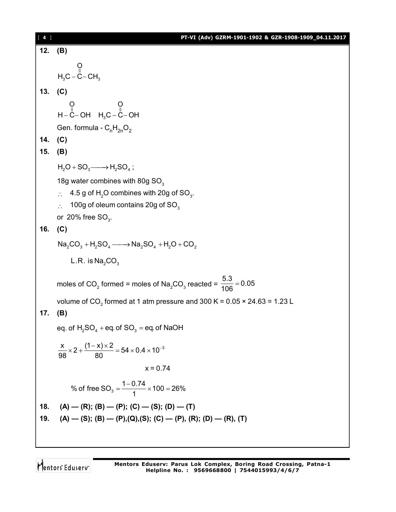| $[4]$     | PT-VI (Adv) GZRM-1901-1902 & GZR-1908-1909_04.11.2017                                                         |
|-----------|---------------------------------------------------------------------------------------------------------------|
| 12.       | (B)                                                                                                           |
|           | $O$<br>H <sub>3</sub> C – C– CH <sub>3</sub>                                                                  |
| 13. $(C)$ |                                                                                                               |
|           | $Q$ $Q$ $Q$<br>H-C-OH $H_3C - C$ -OH                                                                          |
|           | Gen. formula - $C_nH_{2n}O_2$                                                                                 |
| 14. $(C)$ |                                                                                                               |
| 15.       | (B)                                                                                                           |
|           | $H_2O + SO_3 \longrightarrow H_2SO_4$ ;                                                                       |
|           | 18g water combines with 80g SO <sub>3</sub>                                                                   |
|           | 4.5 g of H <sub>2</sub> O combines with 20g of SO <sub>3</sub> .<br>$\ddot{\cdot}$ .                          |
|           | 100g of oleum contains 20g of SO <sub>3</sub><br>$\mathcal{L}_{\bullet}$                                      |
|           | or 20% free $SO_3$ .                                                                                          |
| 16.       | (C)                                                                                                           |
|           | $Na_2CO_3 + H_2SO_4 \longrightarrow Na_2SO_4 + H_2O + CO_2$                                                   |
|           | L.R. is $Na2CO3$                                                                                              |
|           | moles of CO <sub>2</sub> formed = moles of Na <sub>2</sub> CO <sub>3</sub> reacted = $\frac{5.3}{106}$ = 0.05 |
|           | volume of CO <sub>2</sub> formed at 1 atm pressure and 300 K = $0.05 \times 24.63 = 1.23$ L                   |
| 17.       | (B)                                                                                                           |
|           | eq. of $H_2SO_4$ + eq. of $SO_3$ = eq. of NaOH                                                                |
|           | $\frac{x}{98} \times 2 + \frac{(1-x) \times 2}{80} = 54 \times 0.4 \times 10^{-3}$                            |
|           | $x = 0.74$                                                                                                    |
|           | % of free SO <sub>3</sub> = $\frac{1-0.74}{1}$ × 100 = 26%                                                    |
| 18.       | $(A)$ — $(R)$ ; $(B)$ — $(P)$ ; $(C)$ — $(S)$ ; $(D)$ — $(T)$                                                 |
| 19.       | $(A)$ - (S); (B) - (P),(Q),(S); (C) - (P), (R); (D) - (R), (T)                                                |
|           |                                                                                                               |

Mentors<sup>e</sup> Eduserv<sup>-</sup>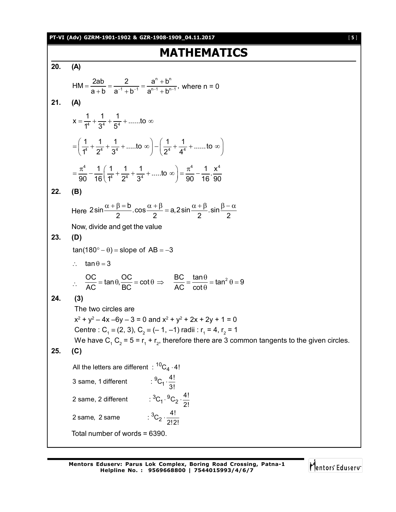**PT-VI (Adv) GZRM-1901-1902 & GZR-1908-1909\_04.11.2017** [ **5** ]

# **MATHEMATICS**

**20. (A)** n, <sub>h</sub>n  $HM = \frac{2ab}{2+b} = \frac{2}{2^{-1} + b^{-1}} = \frac{a^{n} + b^{n}}{2^{n-1} + b^{n-1}}$  $a + b$  a<sup>-1</sup> + b<sup>-1</sup> a<sup>n-1</sup> + b<sup>n-1</sup>  $=\frac{2ab}{a}=\frac{2}{a^1+a^2}=\frac{a^n}{a^1+a^2}$  $\frac{u}{u+b} = \frac{u}{a^{-1} + b^{-1}} = \frac{u}{a^{n-1} + b^{n-1}}$ , where n = 0 **21. (A)**  $x = \frac{1}{1^4} + \frac{1}{2^4} + \frac{1}{5^4} + \dots$  to  $1^4$   $3^4$   $5^4$  $=\frac{1}{44}+\frac{1}{64}+\frac{1}{44}+\dots$  to  $\infty$  $\frac{1}{1^4} + \frac{1}{2^4} + \frac{1}{2^4} + \dots$  to  $\infty$   $-\left(\frac{1}{2^4} + \frac{1}{4^4} + \dots \right)$  to  $1^4$   $2^4$   $3^4$   $\sqrt{2^4}$   $4^4$  $=\left(\frac{1}{1^4}+\frac{1}{2^4}+\frac{1}{3^4}+\dots$  to  $\infty\right)-\left(\frac{1}{2^4}+\frac{1}{4^4}+\dots$  to  $\infty\right)$  $4 \t1 \t(1 \t1 \t1 \t) -4 \t1 \t\sqrt{4}$  $\frac{1}{16} \left( \frac{1}{1^4} + \frac{1}{2^4} + \frac{1}{3^4} + \dots \text{to } \infty \right) = \frac{\pi^4}{90} - \frac{1}{16} \cdot \frac{x^2}{90}$  $90$  16  $1^4$   $2^4$   $3^4$   $7^4$  90 16 90  $=\frac{\pi^4}{90}-\frac{1}{16}\left(\frac{1}{1^4}+\frac{1}{2^4}+\frac{1}{3^4}+\dots$  to  $\infty\right)=\frac{\pi^4}{90}-\frac{1}{16}$ **22. (B)** Here  $2\sin\frac{\alpha+\beta-b}{2}\cdot\cos\frac{\alpha+\beta}{2}=a,2\sin\frac{\alpha+\beta}{2}\cdot\sin$ 2  $2$   $2$   $2$   $2$  $\frac{\alpha + \beta = b}{2}$ .cos  $\frac{\alpha + \beta}{2} = a$ , 2 sin  $\frac{\alpha + \beta}{2}$ .sin  $\frac{\beta - \alpha}{2}$ Now, divide and get the value **23. (D)**  $tan(180^\circ - \theta) = slope of AB = -3$  $\therefore$  tan  $\theta = 3$  $\therefore$  OC = tan  $\theta$ , OC = cot  $AC$  BC  $= \tan \theta$ ,  $\frac{OC}{DO} = \cot \theta \implies \frac{BC}{AO} = \frac{\tan \theta}{\cot \theta} = \tan^2 \theta = 9$ AC cot  $\Rightarrow \frac{BC}{AC} = \frac{\tan \theta}{\cot \theta} = \tan^2 \theta = 9$  $\theta$ **24. (3)** The two circles are  $x^2 + y^2 - 4x - 6y - 3 = 0$  and  $x^2 + y^2 + 2x + 2y + 1 = 0$ Centre : C<sub>1</sub>  $\equiv$  (2, 3), C<sub>2</sub>  $\equiv$  (- 1, -1) radii : r<sub>1</sub> = 4, r<sub>2</sub> = 1 We have C<sub>1</sub> C<sub>2</sub> = 5 = r<sub>1</sub> + r<sub>2</sub>, therefore there are 3 common tangents to the given circles. **25. (C)** All the letters are different  $: {^{10}\textrm{C}_4 \cdot 4!}$  $^{9}C_{1} \cdot \frac{4!}{3!}$ 2 same, 2 different  ${}^{3}C_{1} \cdot {}^{9}C_{2} \cdot \frac{4!}{2!}$  ${}^{3}C_{2} \cdot \frac{4!}{2!2!}$ 3 same, 1 different 2! 2 same, 2 same .  $\cdot \, ^{\circ}C_2 \cdot \frac{1}{2}$ Total number of words = 6390.

Mentors<sup>®</sup> Eduserv<sup>®</sup>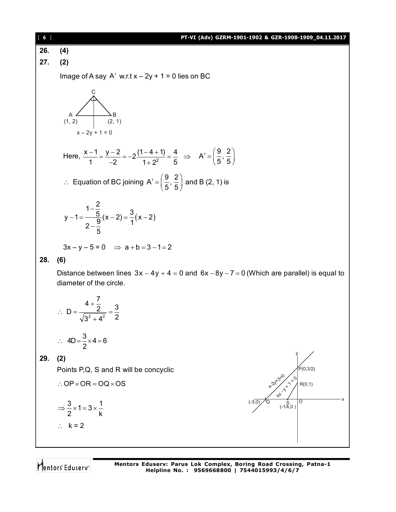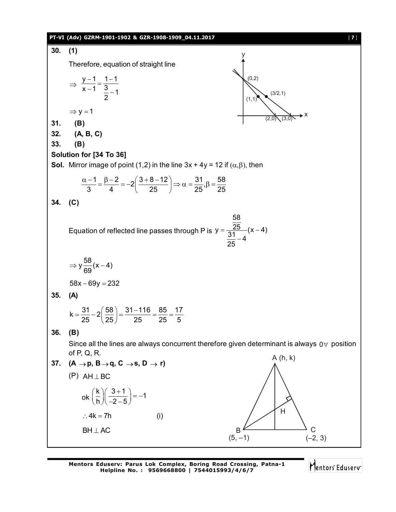#### **PT-VI (Adv) GZRM-1901-1902 & GZR-1908-1909\_04.11.2017** [ **7** ]



Mentors<sup>®</sup> Eduserv<sup>®</sup>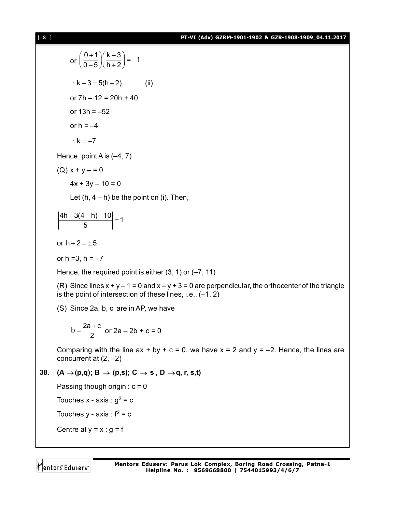# [ **8** ] **PT-VI (Adv) GZRM-1901-1902 & GZR-1908-1909\_04.11.2017**

or 
$$
\left(\frac{0+1}{0-5}\right)\left(\frac{k-3}{h+2}\right) = -1
$$
  
\n $\therefore k-3 = 5(h+2)$  (ii)  
\nor 7h - 12 = 20h + 40  
\nor 13h = -52  
\nor h = -4  
\n $\therefore k = -7$   
\nHence, point A is (-4, 7)  
\n(Q)  $x + y = 0$   
\n $4x + 3y - 10 = 0$   
\nLet (h, 4 - h) be the point on (i). Then,  
\n $\left|\frac{4h+3(4-h)-10}{5}\right| = 1$   
\nor h + 2 = ±5  
\nor h = 3, h = -7  
\nHence, the required point is either (3, 1) or (-7, 11)  
\n(R) Since lines  $x + y - 1 = 0$  and  $x - y + 3 = 0$  are perpendicular, the orthocenter of the triangle  
\nis the point of intersection of these lines, i.e., (-1, 2)  
\n(S) Since 2a, b, c are in AP, we have  
\n $b = \frac{2a+c}{2}$  or 2a - 2b + c = 0  
\nComparing with the line ax + by + c = 0, we have  $x = 2$  and  $y = -2$ . Hence, the lines are  
\nconcurrent at (2, -2)  
\n38. (A  $\rightarrow$  (p,q); B  $\rightarrow$  (p,s); C  $\rightarrow$  s, D  $\rightarrow$  q, r, s,t)  
\nPassing though origin : c = 0  
\nTouches x - axis : g<sup>2</sup> = c  
\nTouches y - axis : f<sup>2</sup> = c

Centre at  $y = x : g = f$ 

Mentors<sup>®</sup> Eduserv<sup>®</sup>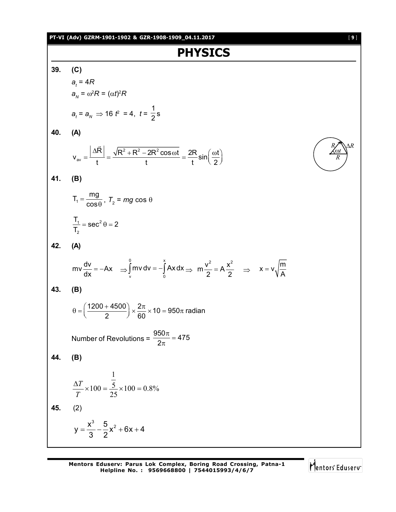#### **PT-VI (Adv) GZRM-1901-1902 & GZR-1908-1909\_04.11.2017** [ **9** ]

**PHYSICS 39. (C)** *at* = 4*R*  $a_{N} = \omega^{2}R = (\alpha t)^{2}R$  $a_t = a_N \implies 16 t^2 = 4, t =$ 1  $\frac{1}{2}$ s **40. (A)** 2 - 2 2 2 2  $v_{\text{av}} = \frac{|\Delta R|}{t} = \frac{\sqrt{R^2 + R^2 - 2R^2 \cos \omega t}}{t} = \frac{2R}{t} \sin \left( \frac{\omega t}{2} \right)$ t t t  $t$   $t$   $\sim$  2  $\Delta R$   $\sqrt{R^2 + R^2 - 2R^2 \cos \omega t}$  2R  $\sin(\omega t)$  $=$  $\frac{1}{t}$  $=$  $\frac{\sqrt{11} \cdot 11 \cdot 21 \cdot 333 \cdot 1}{t}$  $=$  $\frac{21}{t} \cdot \sin\left(\frac{31}{2}\right)$  $\overline{\phantom{a}}$ **41. (B)**  $T_1 = \frac{mg}{200}$ cos  $=$  $\frac{7}{\theta}$ ,  $T_2$  = *mg* cos  $\theta$  $1 - \cos^2$ 2  $\frac{T_1}{T_1}$  = sec<sup>2</sup>  $\theta$  = 2 T,  $=$  sec<sup>2</sup> $\theta$  = 2 **42. (A)**  $mv \frac{dv}{dr} = -Ax$  $\frac{d\mathbf{v}}{dx} = -A\mathbf{x} \implies$ 0 x  $\int_{v}^{v}$ mv dv =  $-\int_{0}^{x} Ax dx \Rightarrow m\frac{v^{2}}{2} = A\frac{x^{2}}{2}$  $\frac{v^2}{2} = A \frac{x^2}{2}$   $\Rightarrow$   $x = v \sqrt{\frac{m}{A}}$ A  $=$ **43. (B)**  $\left(\frac{1200 + 4500}{2}\right) \times \frac{2\pi}{30} \times 10 = 950\pi$  radian  $\theta = \left(\frac{1200 + 4500}{2}\right) \times \frac{2\pi}{60} \times 10 = 950\pi$  r Number of Revolutions =  $\frac{950\pi}{25}$  = 475 2  $\frac{\pi}{\pi}$  =  $\pi$ **44. (B)**  $100 = 0.8\%$ 25 5 1  $\frac{\Delta T}{T} \times 100 = \frac{5}{25} \times 100 =$ *T T* **45.** (2)  $=\frac{x^{2}}{2}-\frac{9}{2}x^{2}+6x+4$  $y = \frac{x^3}{3} - \frac{5}{2}x^2 + 6x + 4$ 3 2

Q

*t R*

*R R*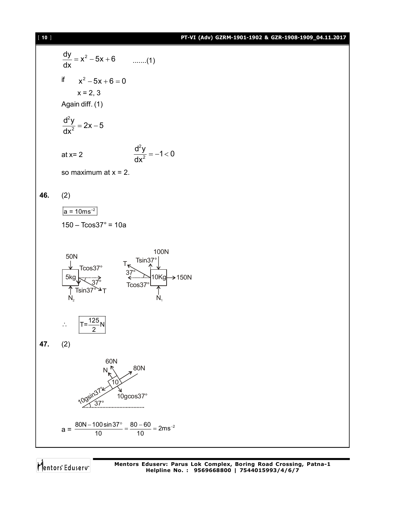### [ **10** ] **PT-VI (Adv) GZRM-1901-1902 & GZR-1908-1909\_04.11.2017**

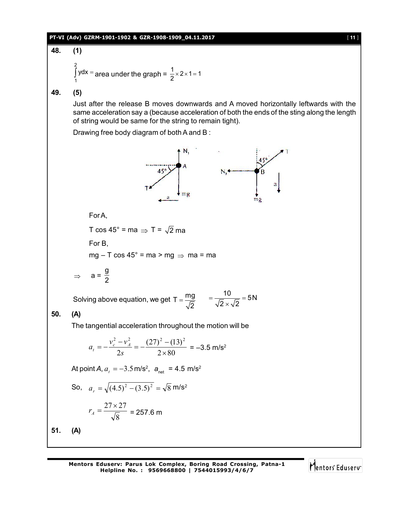

48. (1)  
\n
$$
\int_{1}^{2} ydx = \text{area under the graph} = \frac{1}{2} \times 2 \times 1 = 1
$$

**49. (5)**

Just after the release B moves downwards and A moved horizontally leftwards with the same acceleration say a (because acceleration of both the ends of the sting along the length of string would be same for the string to remain tight).

Drawing free body diagram of both A and B :



For B, mg – T cos 45° = ma > mg  $\Rightarrow$  ma = ma

 $\Rightarrow$  a= g 2

For A,

Solving above equation, we get T =  $\frac{mg}{\sqrt{m}}$ 2  $=\frac{mg}{\sqrt{2}}$  =  $\frac{10}{\sqrt{2} \times \sqrt{2}}$  = 5N  $2 \times \sqrt{2}$  $=\frac{18}{\sqrt{2}} = 5$  $\times$ 

# **50. (A)**

The tangential acceleration throughout the motion will be

$$
a_t = -\frac{v_c^2 - v_A^2}{2s} = -\frac{(27)^2 - (13)^2}{2 \times 80} = -3.5 \text{ m/s}^2
$$

At point *A*,  $a_t = -3.5$  m/s<sup>2</sup>,  $a_{net} = 4.5$  m/s<sup>2</sup>

So, 
$$
a_r = \sqrt{(4.5)^2 - (3.5)^2} = \sqrt{8} \text{ m/s}^2
$$
  

$$
r_A = \frac{27 \times 27}{\sqrt{8}} = 257.6 \text{ m}
$$

**51. (A)**

**Mentors Eduserv: Parus Lok Complex, Boring Road Crossing, Patna-1 Helpline No. : 9569668800 | 7544015993/4/6/7**

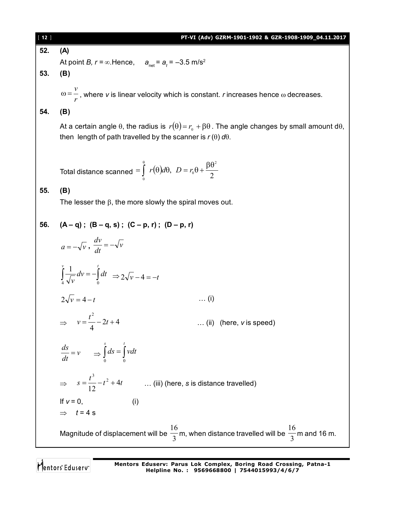[ **12** ] **PT-VI (Adv) GZRM-1901-1902 & GZR-1908-1909\_04.11.2017 52. (A)** At point *B, r* =  $\infty$ .Hence,  $a_{\text{net}}$  =  $a_t$  = –3.5 m/s<sup>2</sup> **53. (B)** *r*  $\omega = \frac{v}{v}$ , where *v* is linear velocity which is constant. *r* increases hence  $\omega$  decreases. **54. (B)** At a certain angle  $\theta$ , the radius is  $r(\theta) = r_0 + \beta \theta$ . The angle changes by small amount d $\theta$ , then length of path travelled by the scanner is  $r(\theta) d\theta$ . Total distance scanned  $=\int\limits_{0}^{\infty} r(\theta)d\theta, \ D=r_{0}\theta+\frac{\rho\theta}{2}$ , 2 0  $\boldsymbol{0}$  $=\int_{0}^{\theta} r(\theta)d\theta, \quad D=r_0\theta+\frac{\beta\theta}{2}$  $\theta$  $r(\theta)d\theta$ ,  $D = r_0$ **55. (B)** The lesser the  $\beta$ , the more slowly the spiral moves out. 56.  $(A - q)$ ;  $(B - q, s)$ ;  $(C - p, r)$ ;  $(D - p, r)$  $a = -\sqrt{v}$ ,  $\frac{dv}{dt} = -\sqrt{v}$  $\frac{dv}{dt} = \int \frac{1}{\sqrt{v}} dv = - \int$  $v$  **1**  $t$  $dv = -\int dt$  $\frac{J}{4}$   $\sqrt{v}$   $\frac{J}{0}$ 1  $\Rightarrow$  2 $\sqrt{v}$  - 4 = -t  $2\sqrt{v} = 4 - t$  … (i)  $\Rightarrow v = \frac{v}{4} - 2t + 4$ 4 2  $=\frac{t^2}{4}-2t+$ *v* … (ii) (here, *v* is speed) *v dt*  $\frac{ds}{dt} = v \Rightarrow \int ds = \int$ *s t ds vdt* 0 0  $\Rightarrow$   $s = \frac{t^3}{12} - t^2 + 4t$ 12 <sup>3</sup>  $=\frac{v}{12}-t^2+4t$  ... (iii) (here, *s* is distance travelled) If  $v = 0$ , (i)  $\Rightarrow$   $t = 4$  s Magnitude of displacement will be  $\frac{\ }{3}$ 16 m, when distance travelled will be  $\frac{\ }{3}$ 16 m and 16 m.